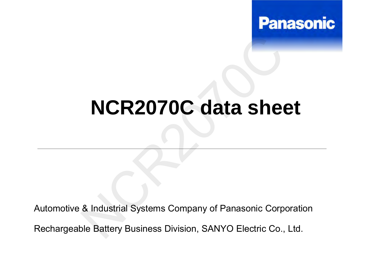

## **NCR2070C data sheet**

Automotive & Industrial Systems Company of Panasonic Corporation Rechargeable Battery Business Division, SANYO Electric Co., Ltd. NCR2070C data sheet<br>
& Industrial Systems Company of Panasonic Corpic<br>
Die Battery Business Division, SANYO Electric Co.,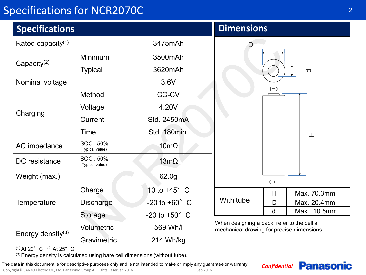## Specifications for NCR2070C

| <b>Specifications</b> |                             |                          | <b>Dimensions</b>                                                                        |
|-----------------------|-----------------------------|--------------------------|------------------------------------------------------------------------------------------|
| Rated capacity $(1)$  |                             | 3475mAh                  | D                                                                                        |
| Capacity $(2)$        | Minimum                     | 3500mAh                  |                                                                                          |
|                       | <b>Typical</b>              | 3620mAh                  | $\overline{\mathbf{C}}$                                                                  |
| Nominal voltage       |                             | 3.6V                     |                                                                                          |
| Charging              | Method                      | <b>CC-CV</b>             | $(+)$                                                                                    |
|                       | Voltage                     | 4.20V                    |                                                                                          |
|                       | Current                     | Std. 2450mA              |                                                                                          |
|                       | Time                        | Std. 180min.             | 工                                                                                        |
| AC impedance          | SOC: 50%<br>(Typical value) | $10 \text{m}\Omega$      |                                                                                          |
| DC resistance         | SOC: 50%<br>(Typical value) | $13m\Omega$              |                                                                                          |
| Weight (max.)         |                             | 62.0g                    | $(-)$                                                                                    |
| <b>Temperature</b>    | Charge                      | 10 to $+45^\circ$ C      | Max. 70.3mm<br>H                                                                         |
|                       | <b>Discharge</b>            | $-20$ to $+60^{\circ}$ C | With tube<br>D<br>Max. 20.4mm                                                            |
|                       | <b>Storage</b>              | $-20$ to $+50^{\circ}$ C | d<br>Max. 10.5mm                                                                         |
| Energy density $(3)$  | Volumetric                  | 569 Wh/l                 | When designing a pack, refer to the cell's<br>mechanical drawing for precise dimensions. |
|                       | Gravimetric                 | 214 Wh/kg                |                                                                                          |

2

**Panasonic** 

 $(1)$  At 20° C  $(2)$  At 25° C

(3) Energy density is calculated using bare cell dimensions (without tube).

*Confidential* The data in this document is for descriptive purposes only and is not intended to make or imply any guarantee or warranty.

Copyright© SANYO Electric Co., Ltd. Panasonic Group All Rights Reserved 2016 Sep.2016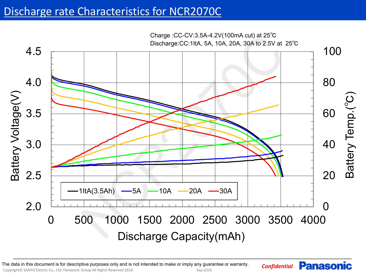## Discharge rate Characteristics for NCR2070C



*Confidential* The data in this document is for descriptive purposes only and is not intended to make or imply any guarantee or warranty.

Copyright© SANYO Electric Co., Ltd. Panasonic Group All Rights Reserved 2016 Sep.2016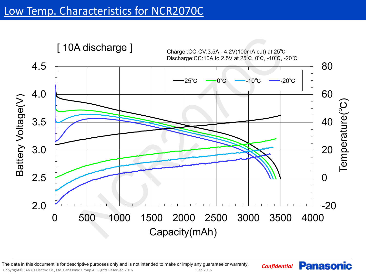

Copyright© SANYO Electric Co., Ltd. Panasonic Group All Rights Reserved 2016 Sep.2016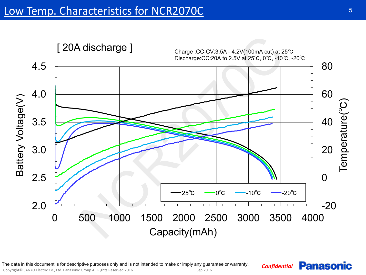

Copyright© SANYO Electric Co., Ltd. Panasonic Group All Rights Reserved 2016 Sep.2016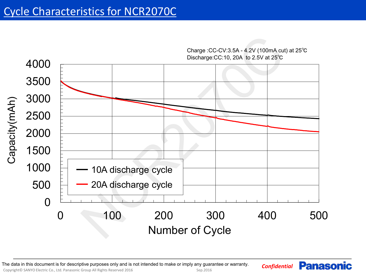

Charge :CC-CV:3.5A - 4.2V (100mA cut) at 25℃

*Confidential* The data in this document is for descriptive purposes only and is not intended to make or imply any guarantee or warranty.

Copyright© SANYO Electric Co., Ltd. Panasonic Group All Rights Reserved 2016 Sep.2016